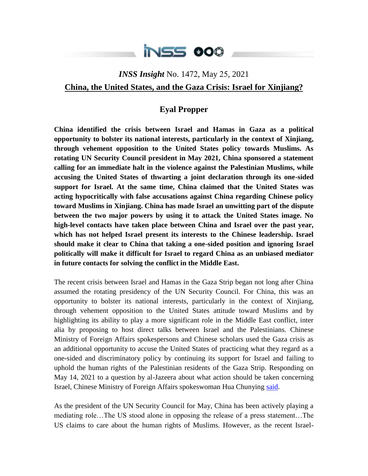

## *INSS Insight* No. 1472, May 25, 2021 **China, the United States, and the Gaza Crisis: Israel for Xinjiang?**

## **Eyal Propper**

**China identified the crisis between Israel and Hamas in Gaza as a political opportunity to bolster its national interests, particularly in the context of Xinjiang, through vehement opposition to the United States policy towards Muslims. As rotating UN Security Council president in May 2021, China sponsored a statement calling for an immediate halt in the violence against the Palestinian Muslims, while accusing the United States of thwarting a joint declaration through its one-sided support for Israel. At the same time, China claimed that the United States was acting hypocritically with false accusations against China regarding Chinese policy toward Muslims in Xinjiang. China has made Israel an unwitting part of the dispute between the two major powers by using it to attack the United States image. No high-level contacts have taken place between China and Israel over the past year, which has not helped Israel present its interests to the Chinese leadership. Israel should make it clear to China that taking a one-sided position and ignoring Israel politically will make it difficult for Israel to regard China as an unbiased mediator in future contacts for solving the conflict in the Middle East.**

The recent crisis between Israel and Hamas in the Gaza Strip began not long after China assumed the rotating presidency of the UN Security Council. For China, this was an opportunity to bolster its national interests, particularly in the context of Xinjiang, through vehement opposition to the United States attitude toward Muslims and by highlighting its ability to play a more significant role in the Middle East conflict, inter alia by proposing to host direct talks between Israel and the Palestinians. Chinese Ministry of Foreign Affairs spokespersons and Chinese scholars used the Gaza crisis as an additional opportunity to accuse the United States of practicing what they regard as a one-sided and discriminatory policy by continuing its support for Israel and failing to uphold the human rights of the Palestinian residents of the Gaza Strip. Responding on May 14, 2021 to a question by al-Jazeera about what action should be taken concerning Israel, Chinese Ministry of Foreign Affairs spokeswoman Hua Chunying [said.](https://www.fmprc.gov.cn/mfa_eng/xwfw_665399/s2510_665401/2511_665403/t1875876.shtml)

As the president of the UN Security Council for May, China has been actively playing a mediating role…The US stood alone in opposing the release of a press statement…The US claims to care about the human rights of Muslims. However, as the recent Israel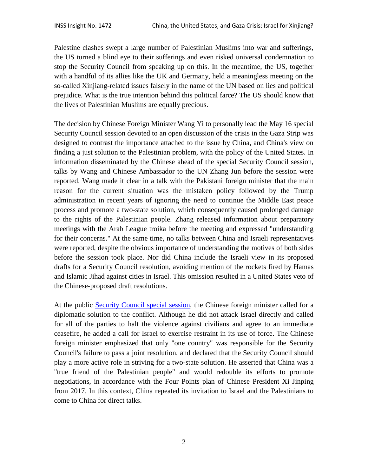Palestine clashes swept a large number of Palestinian Muslims into war and sufferings, the US turned a blind eye to their sufferings and even risked universal condemnation to stop the Security Council from speaking up on this. In the meantime, the US, together with a handful of its allies like the UK and Germany, held a meaningless meeting on the so-called Xinjiang-related issues falsely in the name of the UN based on lies and political prejudice. What is the true intention behind this political farce? The US should know that the lives of Palestinian Muslims are equally precious.

The decision by Chinese Foreign Minister Wang Yi to personally lead the May 16 special Security Council session devoted to an open discussion of the crisis in the Gaza Strip was designed to contrast the importance attached to the issue by China, and China's view on finding a just solution to the Palestinian problem, with the policy of the United States. In information disseminated by the Chinese ahead of the special Security Council session, talks by Wang and Chinese Ambassador to the UN Zhang Jun before the session were reported. Wang made it clear in a talk with the Pakistani foreign minister that the main reason for the current situation was the mistaken policy followed by the Trump administration in recent years of ignoring the need to continue the Middle East peace process and promote a two-state solution, which consequently caused prolonged damage to the rights of the Palestinian people. Zhang released information about preparatory meetings with the Arab League troika before the meeting and expressed "understanding for their concerns." At the same time, no talks between China and Israeli representatives were reported, despite the obvious importance of understanding the motives of both sides before the session took place. Nor did China include the Israeli view in its proposed drafts for a Security Council resolution, avoiding mention of the rockets fired by Hamas and Islamic Jihad against cities in Israel. This omission resulted in a United States veto of the Chinese-proposed draft resolutions.

At the public [Security Council special session,](https://www.youtube.com/watch?v=PdvxuiFinvI) the Chinese foreign minister called for a diplomatic solution to the conflict. Although he did not attack Israel directly and called for all of the parties to halt the violence against civilians and agree to an immediate ceasefire, he added a call for Israel to exercise restraint in its use of force. The Chinese foreign minister emphasized that only "one country" was responsible for the Security Council's failure to pass a joint resolution, and declared that the Security Council should play a more active role in striving for a two-state solution. He asserted that China was a "true friend of the Palestinian people" and would redouble its efforts to promote negotiations, in accordance with the Four Points plan of Chinese President Xi Jinping from 2017. In this context, China repeated its invitation to Israel and the Palestinians to come to China for direct talks.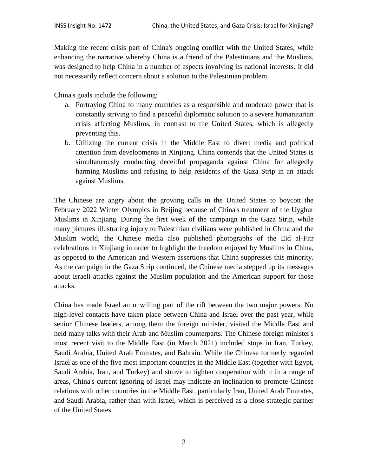Making the recent crisis part of China's ongoing conflict with the United States, while enhancing the narrative whereby China is a friend of the Palestinians and the Muslims, was designed to help China in a number of aspects involving its national interests. It did not necessarily reflect concern about a solution to the Palestinian problem.

China's goals include the following:

- a. Portraying China to many countries as a responsible and moderate power that is constantly striving to find a peaceful diplomatic solution to a severe humanitarian crisis affecting Muslims, in contrast to the United States, which is allegedly preventing this.
- b. Utilizing the current crisis in the Middle East to divert media and political attention from developments in Xinjiang. China contends that the United States is simultaneously conducting deceitful propaganda against China for allegedly harming Muslims and refusing to help residents of the Gaza Strip in an attack against Muslims.

The Chinese are angry about the growing calls in the United States to boycott the February 2022 Winter Olympics in Beijing because of China's treatment of the Uyghur Muslims in Xinjiang. During the first week of the campaign in the Gaza Strip, while many pictures illustrating injury to Palestinian civilians were published in China and the Muslim world, the Chinese media also published photographs of the Eid al-Fitr celebrations in Xinjiang in order to highlight the freedom enjoyed by Muslims in China, as opposed to the American and Western assertions that China suppresses this minority. As the campaign in the Gaza Strip continued, the Chinese media stepped up its messages about Israeli attacks against the Muslim population and the American support for those attacks.

China has made Israel an unwilling part of the rift between the two major powers. No high-level contacts have taken place between China and Israel over the past year, while senior Chinese leaders, among them the foreign minister, visited the Middle East and held many talks with their Arab and Muslim counterparts. The Chinese foreign minister's most recent visit to the Middle East (in March 2021) included stops in Iran, Turkey, Saudi Arabia, United Arab Emirates, and Bahrain. While the Chinese formerly regarded Israel as one of the five most important countries in the Middle East (together with Egypt, Saudi Arabia, Iran, and Turkey) and strove to tighten cooperation with it in a range of areas, China's current ignoring of Israel may indicate an inclination to promote Chinese relations with other countries in the Middle East, particularly Iran, United Arab Emirates, and Saudi Arabia, rather than with Israel, which is perceived as a close strategic partner of the United States.